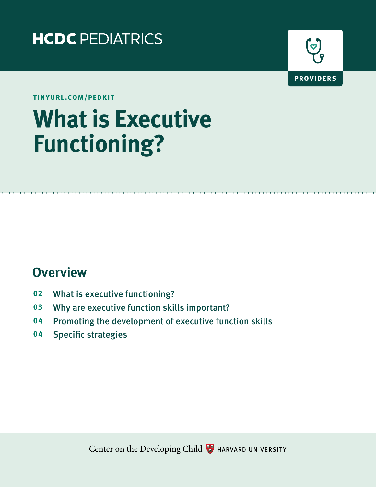



**tinyurl.com/pedkit**

# What is Executive<br>Functioning? **functioning?**

### **Overview**

- **02** What is executive functioning?
- **03** Why are executive function skills important?
- **04** Promoting the development of executive function skills
- **04** Specific strategies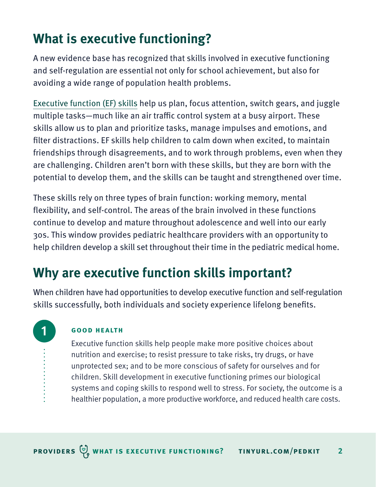# **What is executive functioning?**

A new evidence base has recognized that skills involved in executive functioning and self-regulation are essential not only for school achievement, but also for avoiding a wide range of population health problems.

[Executive function \(EF\) skills](https://developingchild.harvard.edu/science/key-concepts/executive-function/) help us plan, focus attention, switch gears, and juggle multiple tasks—much like an air traffic control system at a busy airport. These skills allow us to plan and prioritize tasks, manage impulses and emotions, and filter distractions. EF skills help children to calm down when excited, to maintain friendships through disagreements, and to work through problems, even when they are challenging. Children aren't born with these skills, but they are born with the potential to develop them, and the skills can be taught and strengthened over time.

These skills rely on three types of brain function: working memory, mental flexibility, and self-control. The areas of the brain involved in these functions continue to develop and mature throughout adolescence and well into our early 30s. This window provides pediatric healthcare providers with an opportunity to help children develop a skill set throughout their time in the pediatric medical home.

# **Why are executive function skills important?**

When children have had opportunities to develop executive function and self-regulation skills successfully, both individuals and society experience lifelong benefits.

### **good health**

**1**

Executive function skills help people make more positive choices about nutrition and exercise; to resist pressure to take risks, try drugs, or have unprotected sex; and to be more conscious of safety for ourselves and for children. Skill development in executive functioning primes our biological systems and coping skills to respond well to stress. For society, the outcome is a healthier population, a more productive workforce, and reduced health care costs.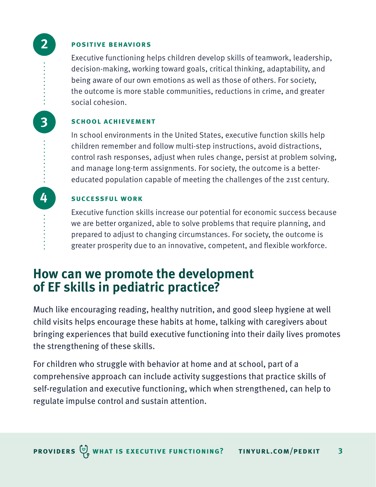**positive behaviors**

**2**

**4**

**3**

Executive functioning helps children develop skills of teamwork, leadership, decision-making, working toward goals, critical thinking, adaptability, and being aware of our own emotions as well as those of others. For society, the outcome is more stable communities, reductions in crime, and greater social cohesion.

### **school achievement**

In school environments in the United States, executive function skills help children remember and follow multi-step instructions, avoid distractions, control rash responses, adjust when rules change, persist at problem solving, and manage long-term assignments. For society, the outcome is a bettereducated population capable of meeting the challenges of the 21st century.

### **successful work**

Executive function skills increase our potential for economic success because we are better organized, able to solve problems that require planning, and prepared to adjust to changing circumstances. For society, the outcome is greater prosperity due to an innovative, competent, and flexible workforce.

### **How can we promote the development of EF skills in pediatric practice?**

Much like encouraging reading, healthy nutrition, and good sleep hygiene at well child visits helps encourage these habits at home, talking with caregivers about bringing experiences that build executive functioning into their daily lives promotes the strengthening of these skills.

For children who struggle with behavior at home and at school, part of a comprehensive approach can include activity suggestions that practice skills of self-regulation and executive functioning, which when strengthened, can help to regulate impulse control and sustain attention.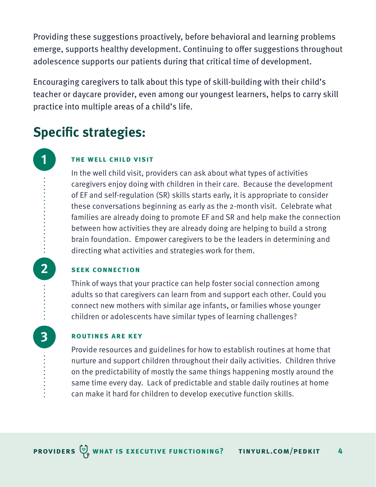Providing these suggestions proactively, before behavioral and learning problems emerge, supports healthy development. Continuing to offer suggestions throughout adolescence supports our patients during that critical time of development.

Encouraging caregivers to talk about this type of skill-building with their child's teacher or daycare provider, even among our youngest learners, helps to carry skill practice into multiple areas of a child's life.

## **Specific strategies:**

**1**

**2**

**3**

### **the well child visit**

In the well child visit, providers can ask about what types of activities caregivers enjoy doing with children in their care. Because the development of EF and self-regulation (SR) skills starts early, it is appropriate to consider these conversations beginning as early as the 2-month visit. Celebrate what families are already doing to promote EF and SR and help make the connection between how activities they are already doing are helping to build a strong brain foundation. Empower caregivers to be the leaders in determining and directing what activities and strategies work for them.

### **seek connection**

Think of ways that your practice can help foster social connection among adults so that caregivers can learn from and support each other. Could you connect new mothers with similar age infants, or families whose younger children or adolescents have similar types of learning challenges?

### **routines are key**

Provide resources and guidelines for how to establish routines at home that nurture and support children throughout their daily activities. Children thrive on the predictability of mostly the same things happening mostly around the same time every day. Lack of predictable and stable daily routines at home can make it hard for children to develop executive function skills.